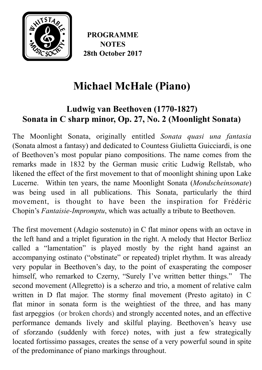

**PROGRAMME NOTES 28th October 2017**

# **Michael McHale (Piano)**

## **Ludwig van Beethoven (1770-1827) Sonata in C sharp minor, Op. 27, No. 2 (Moonlight Sonata)**

The Moonlight Sonata, originally entitled *Sonata quasi una fantasia* ([Sonata](https://en.wikipedia.org/wiki/Sonata#The_sonata_in_the_Classical_period) almost a [fantasy\)](https://en.wikipedia.org/wiki/Fantasia_(music)) and dedicated to Countess [Giulietta Guicciardi,](https://en.wikipedia.org/wiki/Giulietta_Guicciardi) is one of Beethoven's most popular piano compositions. The name comes from the remarks made in 1832 by the German music critic [Ludwig Rellstab](https://en.wikipedia.org/wiki/Ludwig_Rellstab), who likened the effect of the first movement to that of moonlight shining upon [Lake](https://en.wikipedia.org/wiki/Lake_Lucerne) [Lucerne](https://en.wikipedia.org/wiki/Lake_Lucerne). Within ten years, the name Moonlight Sonata (*Mondscheinsonate*) was being used in all publications. This Sonata, particularly the third movement, is thought to have been the inspiration for [Frédéric](https://en.wikipedia.org/wiki/Fr%25C3%25A9d%25C3%25A9ric_Chopin) [Chopin](https://en.wikipedia.org/wiki/Fr%25C3%25A9d%25C3%25A9ric_Chopin)'s *[Fantaisie-Impromptu](https://en.wikipedia.org/wiki/Fantaisie-Impromptu)*, which was actually a tribute to Beethoven.

The first movement [\(Adagio](https://en.wikipedia.org/wiki/Tempo#Basic_tempo_markings) sostenuto) in C flat minor opens with an octave in the left hand and a [triplet](https://en.wikipedia.org/wiki/Tuplet) figuration in the right. A melody that [Hector Berlioz](https://en.wikipedia.org/wiki/Hector_Berlioz) called a "lamentation" is played mostly by the right hand against an accompanying [ostinato](https://en.wikipedia.org/wiki/Ostinato) ("obstinate" or repeated) triplet rhythm. It was already very popular in Beethoven's day, to the point of exasperating the composer himself, who remarked to Czerny, "Surely I've written better things." The second movement [\(Allegretto\)](https://en.wikipedia.org/wiki/Allegretto) is a [scherzo](https://en.wikipedia.org/wiki/Scherzo) and [trio](https://en.wikipedia.org/wiki/Trio_(music)), a moment of relative calm written in [D flat major.](https://en.wikipedia.org/wiki/D-flat_major) The stormy final movement ([Presto](https://en.wikipedia.org/wiki/Tempo#Basic_tempo_markings) agitato) in C flat minor in sonata form is the weightiest of the three, and has many fast [arpeggios](https://en.wikipedia.org/wiki/Arpeggio) (or broken chords) and strongly accented notes, and an effective performance demands lively and skilful playing. Beethoven's heavy use of [sforzando](https://en.wikipedia.org/wiki/Dynamics_(music)) (suddenly with force) notes, with just a few strategically located [fortissimo](https://en.wikipedia.org/wiki/Dynamics_(music)) passages, creates the sense of a very powerful sound in spite of the predominance of [piano](https://en.wikipedia.org/wiki/Dynamics_(music)) markings throughout.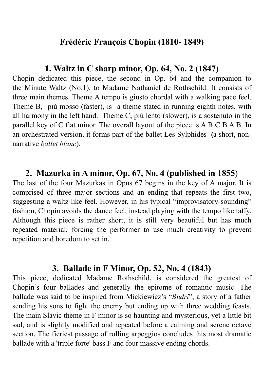#### **Frédéric François Chopin (1810- 1849)**

#### **1. Waltz in C sharp minor, Op. 64, No. 2 (1847)**

Chopin dedicated this piece, the second in Op. 64 and the companion to the [Minute Waltz](https://en.wikipedia.org/wiki/Minute_Waltz) (No.1), to [Madame Nathaniel de Rothschild](https://en.wikipedia.org/wiki/Charlotte_de_Rothschild). It consists of three main [themes](https://en.wikipedia.org/wiki/Theme_(music)). Theme A tempo is giusto [chordal](https://en.wikipedia.org/wiki/Chord_(music)) with a walking pace feel. Theme B, più mosso (faster), is a theme stated in running [eighth notes,](https://en.wikipedia.org/wiki/Eighth_note) with all harmony in the left hand. Theme C, più lento (slower), is a [sostenuto](https://en.wikipedia.org/wiki/Sostenuto) in the parallel key of C flat minor. The overall layout of the piece is A B C B A B. In an orchestrated version, it forms part of the ballet [Les Sylphides](https://en.wikipedia.org/wiki/Les_Sylphides) **(**a short, nonnarrative *[ballet blanc](https://en.wikipedia.org/wiki/Ballet_blanc)*).

#### **2. Mazurka in A minor, Op. 67, No. 4 (published in 1855**)

The last of the four Mazurkas in Opus 67 begins in the key of A major. It is comprised of three major sections and an ending that repeats the first two, suggesting a waltz like feel. However, in his typical "improvisatory-sounding" fashion, Chopin avoids the dance feel, instead playing with the tempo like taffy. Although this piece is rather short, it is still very beautiful but has much repeated material, forcing the performer to use much creativity to prevent repetition and boredom to set in.

#### **3. Ballade in F Minor, Op. 52, No. 4 (1843)**

This piece, dedicated Madame Rothschild, is considered the greatest of Chopin's four ballades and generally the epitome of romantic music. The ballade was said to be inspired from Mickiewicz's "*Budri*", a story of a father sending his sons to fight the enemy but ending up with three wedding feasts. The main Slavic theme in F minor is so haunting and mysterious, yet a little bit sad, and is slightly modified and repeated before a calming and serene octave section. The fieriest passage of rolling arpeggios concludes this most dramatic ballade with a 'triple forte' bass F and four massive ending chords.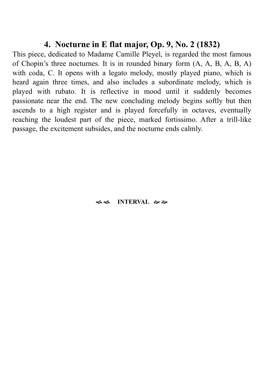#### **4. Nocturne in E flat major, Op. 9, No. 2 (1832)**

This piece, dedicated to Madame [Camille Pleyel](https://en.wikipedia.org/wiki/Camille_Pleyel), is regarded the most famous of Chopin's three nocturnes. It is in [rounded binary form](https://en.wikipedia.org/wiki/Rounded_binary_form) (A, A, B, A, B, A) with [coda,](https://en.wikipedia.org/wiki/Coda_(music)) C. It opens with a legato melody, mostly played piano, which is heard again three times, and also includes a subordinate melody, which is played with rubato. It is reflective in mood until it suddenly becomes passionate near the end. The new concluding melody begins softly but then ascends to a high register and is played forcefully in octaves, eventually reaching the loudest part of the piece, marked fortissimo. After a trill-like passage, the excitement subsides, and the nocturne ends calmly.

#### $\bullet$  \$ MTERVAL ��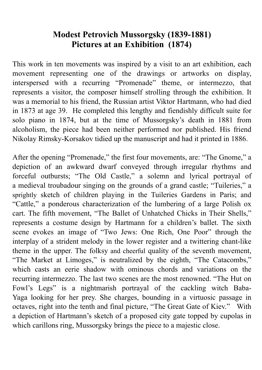### **Modest Petrovich Mussorgsky (1839-1881) Pictures at an Exhibition (1874)**

This work in ten movements was inspired by a visit to an art exhibition, each movement representing one of the drawings or artworks on display, interspersed with a recurring "Promenade" theme, or [intermezzo](https://www.britannica.com/art/intermezzo-music-and-theatre), that represents a visitor, the composer himself strolling through the exhibition. It was a memorial to his friend, the Russian artist Viktor Hartmann, who had died in 1873 at age 39. He completed this lengthy and fiendishly difficult [suite](https://www.britannica.com/art/suite) for solo piano in 1874, but at the time of Mussorgsky's death in 1881 from alcoholism, the piece had been neither performed nor published. His friend [Nikolay Rimsky-Korsakov](https://www.britannica.com/biography/Nikolay-Rimsky-Korsakov) tidied up the manuscript and had it printed in 1886.

After the opening "Promenade," the first four movements, are: "The Gnome," a depiction of an awkward dwarf conveyed through irregular rhythms and forceful outbursts; "The Old Castle," a solemn and lyrical portrayal of a [medieval](https://www.merriam-webster.com/dictionary/medieval) troubadour singing on the grounds of a grand [castle;](https://www.britannica.com/technology/castle-architecture) "Tuileries," a sprightly sketch of children playing in the Tuileries Gardens in Paris; and "Cattle," a ponderous characterization of the lumbering of a large Polish ox cart. The fifth movement, "The Ballet of Unhatched Chicks in Their Shells," represents a costume design by Hartmann for a children's ballet. The sixth scene evokes an image of "Two Jews: One Rich, One Poor" through the interplay of a strident melody in the lower register and a twittering chant-like theme in the upper. The folksy and cheerful quality of the seventh movement, "The Market at Limoges," is neutralized by the eighth, "The Catacombs," which casts an eerie shadow with ominous chords and variations on the recurring intermezzo. The last two scenes are the most renowned. "The Hut on Fowl's Legs" is a nightmarish portrayal of the cackling witch [Baba-](https://www.britannica.com/topic/Baba-Yaga)[Yaga](https://www.britannica.com/topic/Baba-Yaga) looking for her prey. She charges, bounding in a virtuosic passage in octaves, right into the tenth and final picture, "The Great Gate of Kiev." With a depiction of Hartmann's sketch of a proposed city gate topped by cupolas in which carillons ring, Mussorgsky brings the piece to a majestic close.